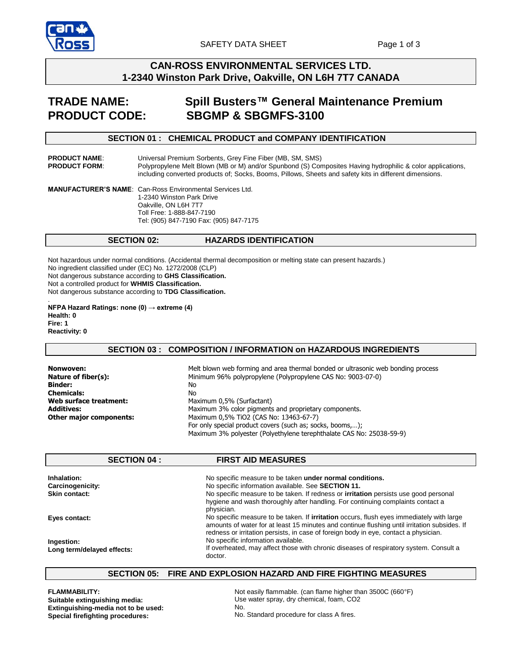

# **CAN-ROSS ENVIRONMENTAL SERVICES LTD. 1-2340 Winston Park Drive, Oakville, ON L6H 7T7 CANADA**

# **TRADE NAME: Spill Busters™ General Maintenance Premium PRODUCT CODE: SBGMP & SBGMFS-3100**

# **SECTION 01 : CHEMICAL PRODUCT and COMPANY IDENTIFICATION**

**PRODUCT NAME:** Universal Premium Sorbents, Grey Fine Fiber (MB, SM, SMS)<br>**PRODUCT FORM:** Polypropylene Melt Blown (MB or M) and/or Spunbond (S) Cor Polypropylene Melt Blown (MB or M) and/or Spunbond (S) Composites Having hydrophilic & color applications, including converted products of; Socks, Booms, Pillows, Sheets and safety kits in different dimensions.

**MANUFACTURER'S NAME**: Can-Ross Environmental Services Ltd. 1-2340 Winston Park Drive Oakville, ON L6H 7T7 Toll Free: 1-888-847-7190 Tel: (905) 847-7190 Fax: (905) 847-7175

# **SECTION 02: HAZARDS IDENTIFICATION**

Not hazardous under normal conditions. (Accidental thermal decomposition or melting state can present hazards.) No ingredient classified under (EC) No. 1272/2008 (CLP) Not dangerous substance according to **GHS Classification.** Not a controlled product for **WHMIS Classification.** Not dangerous substance according to **TDG Classification.** .

**NFPA Hazard Ratings: none (0) → extreme (4) Health: 0 Fire: 1 Reactivity: 0**

### **SECTION 03 : COMPOSITION / INFORMATION on HAZARDOUS INGREDIENTS**

**Nonwoven: Nature of fiber(s): Binder: Chemicals: Web surface treatment: Additives: Other major components:**  Melt blown web forming and area thermal bonded or ultrasonic web bonding process Minimum 96% polypropylene (Polypropylene CAS No: 9003-07-0) No No Maximum 0,5% (Surfactant) Maximum 3% color pigments and proprietary components. Maximum 0,5% TiO2 (CAS No: 13463-67-7) For only special product covers (such as; socks, booms,…); Maximum 3% polyester (Polyethylene terephthalate CAS No: 25038-59-9)

|                                          | <b>SECTION 04 :</b> | <b>FIRST AID MEASURES</b>                                                                                                                                                                                                                                                               |
|------------------------------------------|---------------------|-----------------------------------------------------------------------------------------------------------------------------------------------------------------------------------------------------------------------------------------------------------------------------------------|
| Inhalation:                              |                     | No specific measure to be taken under normal conditions.                                                                                                                                                                                                                                |
| <b>Carcinogenicity:</b>                  |                     | No specific information available. See SECTION 11.                                                                                                                                                                                                                                      |
| Skin contact:                            |                     | No specific measure to be taken. If redness or <b>irritation</b> persists use good personal<br>hygiene and wash thoroughly after handling. For continuing complaints contact a<br>physician.                                                                                            |
| Eyes contact:                            |                     | No specific measure to be taken. If <b>irritation</b> occurs, flush eyes immediately with large<br>amounts of water for at least 15 minutes and continue flushing until irritation subsides. If<br>redness or irritation persists, in case of foreign body in eye, contact a physician. |
| Ingestion:<br>Long term/delayed effects: |                     | No specific information available.<br>If overheated, may affect those with chronic diseases of respiratory system. Consult a<br>doctor.                                                                                                                                                 |

# **SECTION 05: FIRE AND EXPLOSION HAZARD AND FIRE FIGHTING MEASURES**

**FLAMMABILITY: Suitable extinguishing media: Extinguishing-media not to be used: Special firefighting procedures:** 

Not easily flammable. (can flame higher than 3500C (660°F) Use water spray, dry chemical, foam, CO2 No. No. Standard procedure for class A fires.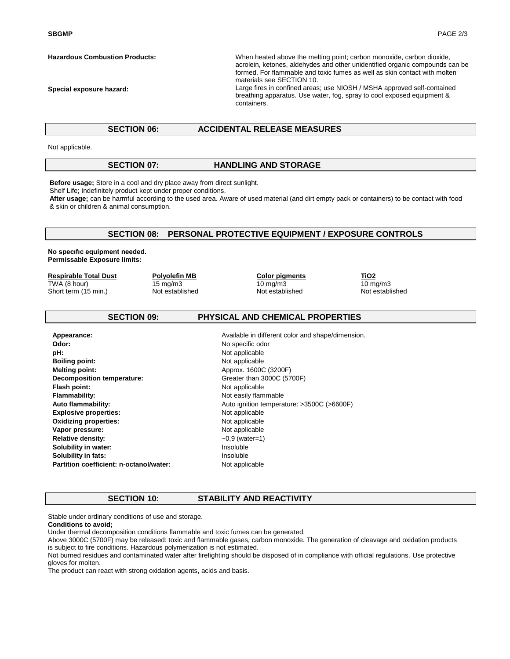**SBGMP** PAGE 2/3

**Hazardous Combustion Products:** 

**Special exposure hazard:** 

When heated above the melting point; carbon monoxide, carbon dioxide, acrolein, ketones, aldehydes and other unidentified organic compounds can be formed. For flammable and toxic fumes as well as skin contact with molten materials see SECTION 10.

Large fires in confined areas; use NIOSH / MSHA approved self-contained breathing apparatus. Use water, fog, spray to cool exposed equipment & containers.

#### **SECTION 06: ACCIDENTAL RELEASE MEASURES**

Not applicable.

# **SECTION 07: HANDLING AND STORAGE**

**Before usage;** Store in a cool and dry place away from direct sunlight.

Shelf Life; Indefinitely product kept under proper conditions.

**After usage;** can be harmful according to the used area. Aware of used material (and dirt empty pack or containers) to be contact with food & skin or children & animal consumption.

### **SECTION 08: PERSONAL PROTECTIVE EQUIPMENT / EXPOSURE CONTROLS**

**No specıfıc equipment needed. Permissable Exposure limits:** 

#### **Respirable Total Dust**

TWA (8 hour) Short term (15 min.)

15 mg/m3 Not established

**Polyolefin MB**

**Color pigments** 10 mg/m3 Not established

**TiO2**  $10 \text{ mg/m}$ Not established

### **SECTION 09: PHYSICAL AND CHEMICAL PROPERTIES**

| Appearance:                             | Available in different color and shape/dimension. |
|-----------------------------------------|---------------------------------------------------|
| Odor:                                   | No specific odor                                  |
| pH:                                     | Not applicable                                    |
| <b>Boiling point:</b>                   | Not applicable                                    |
| <b>Melting point:</b>                   | Approx. 1600C (3200F)                             |
| Decomposition temperature:              | Greater than 3000C (5700F)                        |
| Flash point:                            | Not applicable                                    |
| <b>Flammability:</b>                    | Not easily flammable                              |
| Auto flammability:                      | Auto ignition temperature: >3500C (>6600F)        |
| <b>Explosive properties:</b>            | Not applicable                                    |
| <b>Oxidizing properties:</b>            | Not applicable                                    |
| Vapor pressure:                         | Not applicable                                    |
| <b>Relative density:</b>                | $-0.9$ (water=1)                                  |
| Solubility in water:                    | Insoluble                                         |
| Solubility in fats:                     | Insoluble                                         |
| Partition coefficient: n-octanol/water: | Not applicable                                    |

#### **SECTION 10: STABILITY AND REACTIVITY**

Stable under ordinary conditions of use and storage.

#### **Conditions to avoid;**

Under thermal decomposition conditions flammable and toxic fumes can be generated.

Above 3000C (5700F) may be released: toxic and flammable gases, carbon monoxide. The generation of cleavage and oxidation products is subject to fire conditions. Hazardous polymerization is not estimated.

Not burned residues and contaminated water after firefighting should be disposed of in compliance with official regulations. Use protective gloves for molten.

The product can react with strong oxidation agents, acids and basis.